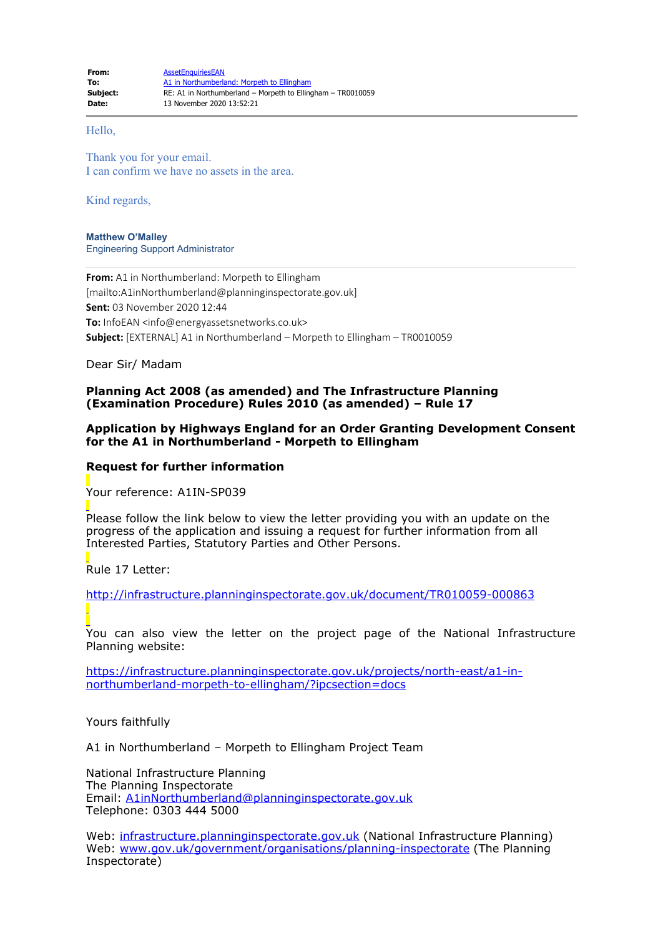#### Hello,

Thank you for your email. I can confirm we have no assets in the area.

Kind regards,

**Matthew O'Malley** Engineering Support Administrator

**From:** A1 in Northumberland: Morpeth to Ellingham [mailto:A1inNorthumberland@planninginspectorate.gov.uk] **Sent:** 03 November 2020 12:44 **To:** InfoEAN <info@energyassetsnetworks.co.uk> **Subject:** [EXTERNAL] A1 in Northumberland – Morpeth to Ellingham – TR0010059

Dear Sir/ Madam

# **Planning Act 2008 (as amended) and The Infrastructure Planning (Examination Procedure) Rules 2010 (as amended) – Rule 17**

## **Application by Highways England for an Order Granting Development Consent for the A1 in Northumberland - Morpeth to Ellingham**

### **Request for further information**

Your reference: A1IN-SP039

Please follow the link below to view the letter providing you with an update on the progress of the application and issuing a request for further information from all Interested Parties, Statutory Parties and Other Persons.

Rule 17 Letter:

[http://infrastructure.planninginspectorate.gov.uk/document/TR010059-000863](https://gbr01.safelinks.protection.outlook.com/?url=http%3A%2F%2Finfrastructure.planninginspectorate.gov.uk%2Fdocument%2FTR010059-000863&data=04%7C01%7Ca1innorthumberland%40planninginspectorate.gov.uk%7C03f6510870f7433f26df08d887db561a%7C5878df986f8848ab9322998ce557088d%7C1%7C0%7C637408723394659301%7CUnknown%7CTWFpbGZsb3d8eyJWIjoiMC4wLjAwMDAiLCJQIjoiV2luMzIiLCJBTiI6Ik1haWwiLCJXVCI6Mn0%3D%7C1000&sdata=jdnr0V63t%2FZk344GToebyr%2BdXDd%2BO1Tar3ZgN2%2FpUIU%3D&reserved=0)

You can also view the letter on the project page of the National Infrastructure Planning website:

[https://infrastructure.planninginspectorate.gov.uk/projects/north-east/a1-in](https://gbr01.safelinks.protection.outlook.com/?url=https%3A%2F%2Finfrastructure.planninginspectorate.gov.uk%2Fprojects%2Fnorth-east%2Fa1-in-northumberland-morpeth-to-ellingham%2F%3Fipcsection%3Ddocs&data=04%7C01%7Ca1innorthumberland%40planninginspectorate.gov.uk%7C03f6510870f7433f26df08d887db561a%7C5878df986f8848ab9322998ce557088d%7C1%7C0%7C637408723394659301%7CUnknown%7CTWFpbGZsb3d8eyJWIjoiMC4wLjAwMDAiLCJQIjoiV2luMzIiLCJBTiI6Ik1haWwiLCJXVCI6Mn0%3D%7C1000&sdata=JvoMU9iOO%2Bn9aqY4mcQfbcnYfuNrROMJZh22pe6JrRw%3D&reserved=0)[northumberland-morpeth-to-ellingham/?ipcsection=docs](https://gbr01.safelinks.protection.outlook.com/?url=https%3A%2F%2Finfrastructure.planninginspectorate.gov.uk%2Fprojects%2Fnorth-east%2Fa1-in-northumberland-morpeth-to-ellingham%2F%3Fipcsection%3Ddocs&data=04%7C01%7Ca1innorthumberland%40planninginspectorate.gov.uk%7C03f6510870f7433f26df08d887db561a%7C5878df986f8848ab9322998ce557088d%7C1%7C0%7C637408723394659301%7CUnknown%7CTWFpbGZsb3d8eyJWIjoiMC4wLjAwMDAiLCJQIjoiV2luMzIiLCJBTiI6Ik1haWwiLCJXVCI6Mn0%3D%7C1000&sdata=JvoMU9iOO%2Bn9aqY4mcQfbcnYfuNrROMJZh22pe6JrRw%3D&reserved=0)

Yours faithfully

A1 in Northumberland – Morpeth to Ellingham Project Team

National Infrastructure Planning The Planning Inspectorate Email: [A1inNorthumberland@planninginspectorate.gov.uk](mailto:A1inNorthumberland@planninginspectorate.gov.uk) Telephone: 0303 444 5000

Web: [infrastructure.planninginspectorate.gov.uk](https://gbr01.safelinks.protection.outlook.com/?url=http%3A%2F%2Finfrastructure.planninginspectorate.gov.uk%2F&data=04%7C01%7Ca1innorthumberland%40planninginspectorate.gov.uk%7C03f6510870f7433f26df08d887db561a%7C5878df986f8848ab9322998ce557088d%7C1%7C0%7C637408723394669259%7CUnknown%7CTWFpbGZsb3d8eyJWIjoiMC4wLjAwMDAiLCJQIjoiV2luMzIiLCJBTiI6Ik1haWwiLCJXVCI6Mn0%3D%7C1000&sdata=K%2BBcBdcRENTMbJJY1KsuLG6qSSPeqZeDtGqwkidMEgw%3D&reserved=0) (National Infrastructure Planning) Web: [www.gov.uk/government/organisations/planning-inspectorate](https://gbr01.safelinks.protection.outlook.com/?url=http%3A%2F%2Fwww.gov.uk%2Fgovernment%2Forganisations%2Fplanning-inspectorate&data=04%7C01%7Ca1innorthumberland%40planninginspectorate.gov.uk%7C03f6510870f7433f26df08d887db561a%7C5878df986f8848ab9322998ce557088d%7C1%7C0%7C637408723394669259%7CUnknown%7CTWFpbGZsb3d8eyJWIjoiMC4wLjAwMDAiLCJQIjoiV2luMzIiLCJBTiI6Ik1haWwiLCJXVCI6Mn0%3D%7C1000&sdata=g93lcUwsbSbF1YLVVQcTfcFhbWNNXd1k%2BKawSWQPUy8%3D&reserved=0) (The Planning Inspectorate)